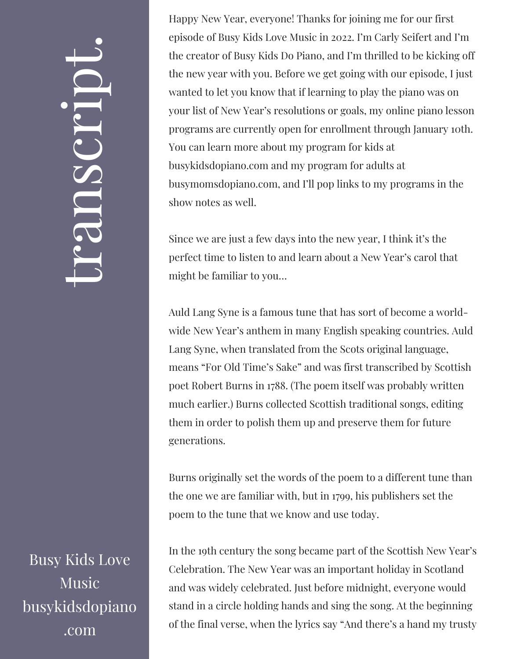## $\leftarrow$ ra<br>S n $\boldsymbol{C}$  $\bigcup$ r $\bullet$   $\overline{\phantom{a}}$  $\boxed{\phantom{1}}$  $\overline{\phantom{a}}$  $\bullet$

Busy Kids Love **Music** busykidsdopiano .com

Happy New Year, everyone! Thanks for joining me for our first episode of Busy Kids Love Music in 2022. I'm Carly Seifert and I'm the creator of Busy Kids Do Piano, and I'm thrilled to be kicking off the new year with you. Before we get going with our episode, I just wanted to let you know that if learning to play the piano was on your list of New Year's resolutions or goals, my online piano lesson programs are currently open for enrollment through January 10th. You can learn more about my program for kids at busykidsdopiano.com and my program for adults at busymomsdopiano.com, and I'll pop links to my programs in the show notes as well.

Since we are just a few days into the new year, I think it's the perfect time to listen to and learn about a New Year's carol that might be familiar to you…

Auld Lang Syne is a famous tune that has sort of become a worldwide New Year's anthem in many English speaking countries. Auld Lang Syne, when translated from the Scots original language, means "For Old Time's Sake" and was first transcribed by Scottish poet Robert Burns in 1788. (The poem itself was probably written much earlier.) Burns collected Scottish traditional songs, editing them in order to polish them up and preserve them for future generations.

Burns originally set the words of the poem to a different tune than the one we are familiar with, but in 1799, his publishers set the poem to the tune that we know and use today.

In the 19th century the song became part of the Scottish New Year's Celebration. The New Year was an important holiday in Scotland and was widely celebrated. Just before midnight, everyone would stand in a circle holding hands and sing the song. At the beginning of the final verse, when the lyrics say "And there's a hand my trusty